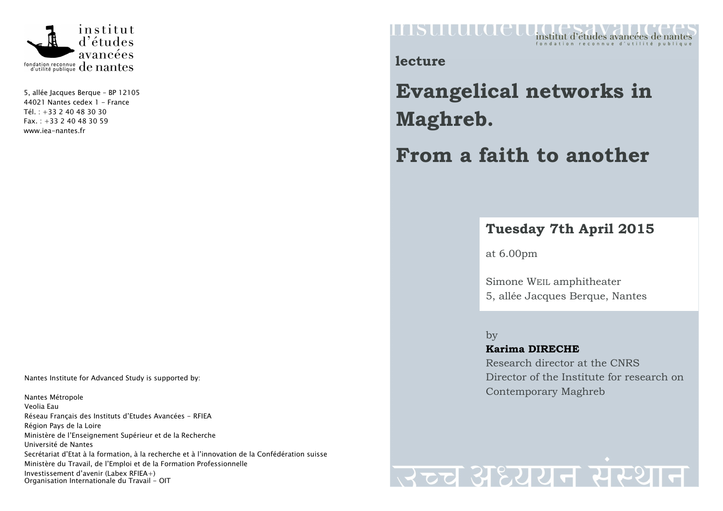

5, allée Jacques Berque – BP 12105 44021 Nantes cedex 1 - France Tél. : +33 2 40 48 30 30  $Fax. : +33240483059$ www.iea-nantes.fr

Nantes Institute for Advanced Study is supported by:

Nantes Métropole Veolia Eau Réseau Français des Instituts d'Etudes Avancées - RFIEA Région Pays de la Loire Ministère de l'Enseignement Supérieur et de la Recherche Université de Nantes Secrétariat d'Etat à la formation, à la recherche et à l'innovation de la Confédération suisse Ministère du Travail, de l'Emploi et de la Formation Professionnelle Investissement d'avenir (Labex RFIEA+) Organisation Internationale du Travail - OIT

## **HASULULOEU** institut d'études avancées de nantes

**lecture** 

**Evangelical networks in Maghreb.** 

**From a faith to another** 

## **Tuesday 7th April 2015**

at 6.00pm

Simone WEIL amphitheater 5, allée Jacques Berque, Nantes

by **Karima DIRECHE** Research director at the CNRS Director of the Institute for research on Contemporary Maghreb

## उच्च अध्ययन संस्थान